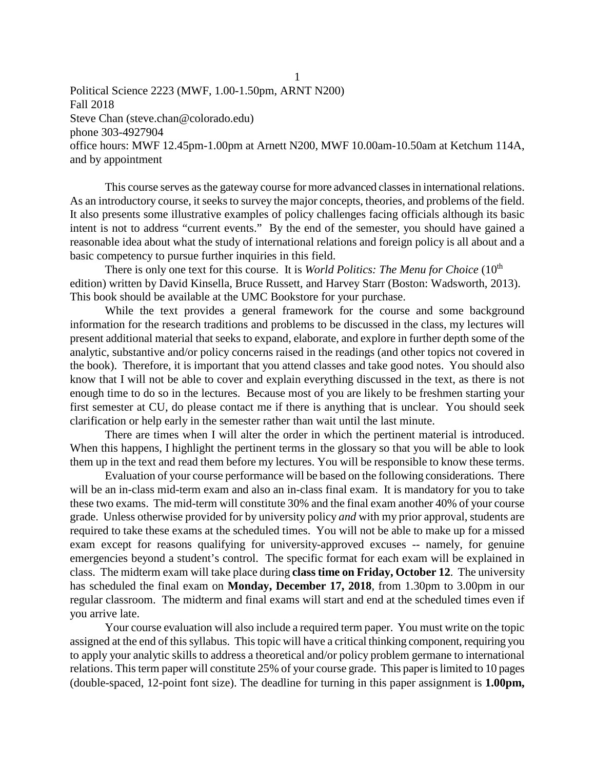Political Science 2223 (MWF, 1.00-1.50pm, ARNT N200) Fall 2018 Steve Chan (steve.chan@colorado.edu) phone 303-4927904 office hours: MWF 12.45pm-1.00pm at Arnett N200, MWF 10.00am-10.50am at Ketchum 114A, and by appointment

This course serves as the gateway course for more advanced classes in international relations. As an introductory course, it seeks to survey the major concepts, theories, and problems of the field. It also presents some illustrative examples of policy challenges facing officials although its basic intent is not to address "current events." By the end of the semester, you should have gained a reasonable idea about what the study of international relations and foreign policy is all about and a basic competency to pursue further inquiries in this field.

There is only one text for this course. It is *World Politics: The Menu for Choice* (10<sup>th</sup>) edition) written by David Kinsella, Bruce Russett, and Harvey Starr (Boston: Wadsworth, 2013). This book should be available at the UMC Bookstore for your purchase.

While the text provides a general framework for the course and some background information for the research traditions and problems to be discussed in the class, my lectures will present additional material that seeks to expand, elaborate, and explore in further depth some of the analytic, substantive and/or policy concerns raised in the readings (and other topics not covered in the book). Therefore, it is important that you attend classes and take good notes. You should also know that I will not be able to cover and explain everything discussed in the text, as there is not enough time to do so in the lectures. Because most of you are likely to be freshmen starting your first semester at CU, do please contact me if there is anything that is unclear. You should seek clarification or help early in the semester rather than wait until the last minute.

There are times when I will alter the order in which the pertinent material is introduced. When this happens, I highlight the pertinent terms in the glossary so that you will be able to look them up in the text and read them before my lectures. You will be responsible to know these terms.

Evaluation of your course performance will be based on the following considerations. There will be an in-class mid-term exam and also an in-class final exam. It is mandatory for you to take these two exams. The mid-term will constitute 30% and the final exam another 40% of your course grade. Unless otherwise provided for by university policy *and* with my prior approval, students are required to take these exams at the scheduled times. You will not be able to make up for a missed exam except for reasons qualifying for university-approved excuses -- namely, for genuine emergencies beyond a student's control. The specific format for each exam will be explained in class. The midterm exam will take place during **class time on Friday, October 12**. The university has scheduled the final exam on **Monday, December 17, 2018**, from 1.30pm to 3.00pm in our regular classroom. The midterm and final exams will start and end at the scheduled times even if you arrive late.

Your course evaluation will also include a required term paper. You must write on the topic assigned at the end of this syllabus. This topic will have a critical thinking component, requiring you to apply your analytic skills to address a theoretical and/or policy problem germane to international relations. This term paper will constitute 25% of your course grade. This paper is limited to 10 pages (double-spaced, 12-point font size). The deadline for turning in this paper assignment is **1.00pm,** 

1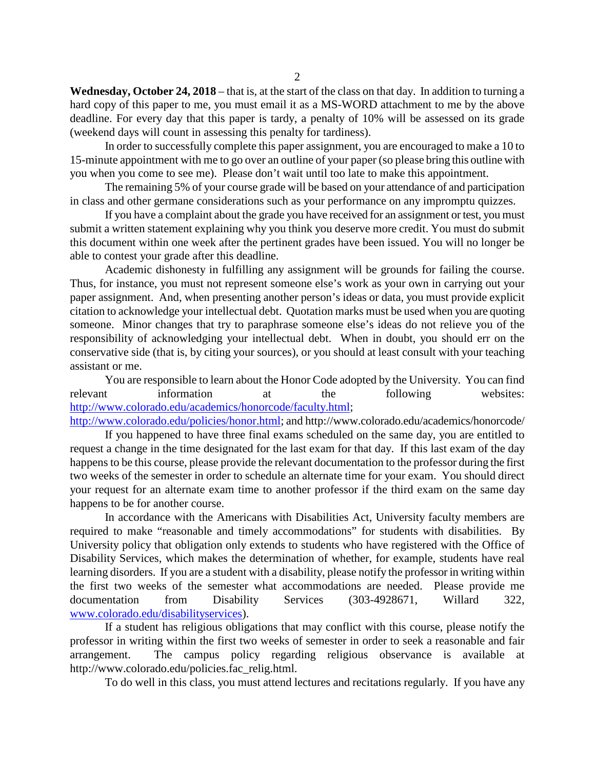**Wednesday, October 24, 2018** – that is, at the start of the class on that day. In addition to turning a hard copy of this paper to me, you must email it as a MS-WORD attachment to me by the above deadline. For every day that this paper is tardy, a penalty of 10% will be assessed on its grade (weekend days will count in assessing this penalty for tardiness).

In order to successfully complete this paper assignment, you are encouraged to make a 10 to 15-minute appointment with me to go over an outline of your paper (so please bring this outline with you when you come to see me). Please don't wait until too late to make this appointment.

The remaining 5% of your course grade will be based on your attendance of and participation in class and other germane considerations such as your performance on any impromptu quizzes.

If you have a complaint about the grade you have received for an assignment or test, you must submit a written statement explaining why you think you deserve more credit. You must do submit this document within one week after the pertinent grades have been issued. You will no longer be able to contest your grade after this deadline.

Academic dishonesty in fulfilling any assignment will be grounds for failing the course. Thus, for instance, you must not represent someone else's work as your own in carrying out your paper assignment. And, when presenting another person's ideas or data, you must provide explicit citation to acknowledge your intellectual debt. Quotation marks must be used when you are quoting someone. Minor changes that try to paraphrase someone else's ideas do not relieve you of the responsibility of acknowledging your intellectual debt. When in doubt, you should err on the conservative side (that is, by citing your sources), or you should at least consult with your teaching assistant or me.

You are responsible to learn about the Honor Code adopted by the University. You can find relevant information at the following websites: [http://www.colorado.edu/academics/honorcode/faculty.html;](http://www.colorado.edu/academics/honorcode/faculty.html)

[http://www.colorado.edu/policies/honor.html;](http://www.colorado.edu/policies/honor.html) and http://www.colorado.edu/academics/honorcode/ If you happened to have three final exams scheduled on the same day, you are entitled to

request a change in the time designated for the last exam for that day. If this last exam of the day happens to be this course, please provide the relevant documentation to the professor during the first two weeks of the semester in order to schedule an alternate time for your exam. You should direct your request for an alternate exam time to another professor if the third exam on the same day happens to be for another course.

In accordance with the Americans with Disabilities Act, University faculty members are required to make "reasonable and timely accommodations" for students with disabilities. By University policy that obligation only extends to students who have registered with the Office of Disability Services, which makes the determination of whether, for example, students have real learning disorders. If you are a student with a disability, please notify the professor in writing within the first two weeks of the semester what accommodations are needed. Please provide me documentation from Disability Services (303-4928671, Willard 322, [www.colorado.edu/disabilityservices\)](http://www.colorado.edu/disabilityservices).

If a student has religious obligations that may conflict with this course, please notify the professor in writing within the first two weeks of semester in order to seek a reasonable and fair arrangement. The campus policy regarding religious observance is available at http://www.colorado.edu/policies.fac\_relig.html.

To do well in this class, you must attend lectures and recitations regularly. If you have any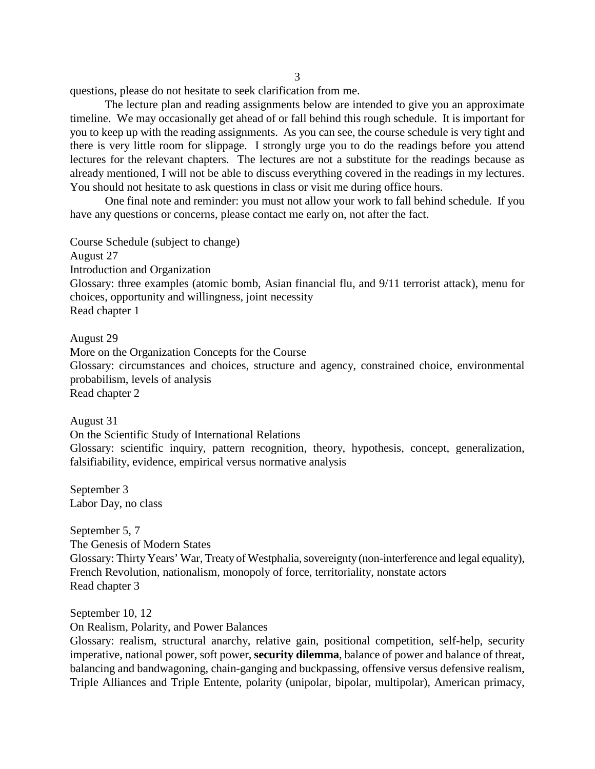3

questions, please do not hesitate to seek clarification from me.

The lecture plan and reading assignments below are intended to give you an approximate timeline. We may occasionally get ahead of or fall behind this rough schedule. It is important for you to keep up with the reading assignments. As you can see, the course schedule is very tight and there is very little room for slippage. I strongly urge you to do the readings before you attend lectures for the relevant chapters. The lectures are not a substitute for the readings because as already mentioned, I will not be able to discuss everything covered in the readings in my lectures. You should not hesitate to ask questions in class or visit me during office hours.

One final note and reminder: you must not allow your work to fall behind schedule. If you have any questions or concerns, please contact me early on, not after the fact.

Course Schedule (subject to change) August 27 Introduction and Organization Glossary: three examples (atomic bomb, Asian financial flu, and 9/11 terrorist attack), menu for choices, opportunity and willingness, joint necessity Read chapter 1

August 29

More on the Organization Concepts for the Course Glossary: circumstances and choices, structure and agency, constrained choice, environmental probabilism, levels of analysis Read chapter 2

August 31

On the Scientific Study of International Relations

Glossary: scientific inquiry, pattern recognition, theory, hypothesis, concept, generalization, falsifiability, evidence, empirical versus normative analysis

September 3 Labor Day, no class

September 5, 7 The Genesis of Modern States Glossary: Thirty Years' War, Treaty of Westphalia, sovereignty (non-interference and legal equality), French Revolution, nationalism, monopoly of force, territoriality, nonstate actors Read chapter 3

September 10, 12

On Realism, Polarity, and Power Balances

Glossary: realism, structural anarchy, relative gain, positional competition, self-help, security imperative, national power, soft power, **security dilemma**, balance of power and balance of threat, balancing and bandwagoning, chain-ganging and buckpassing, offensive versus defensive realism, Triple Alliances and Triple Entente, polarity (unipolar, bipolar, multipolar), American primacy,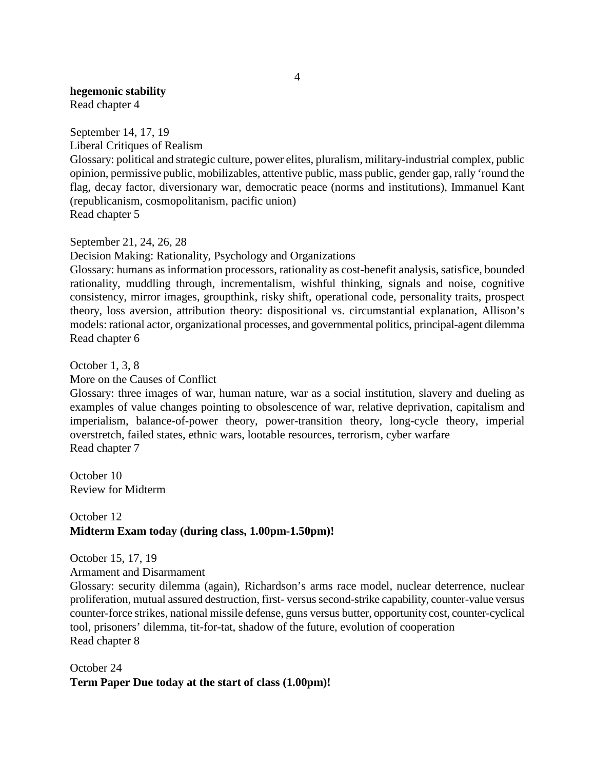## **hegemonic stability**

Read chapter 4

September 14, 17, 19 Liberal Critiques of Realism Glossary: political and strategic culture, power elites, pluralism, military-industrial complex, public opinion, permissive public, mobilizables, attentive public, mass public, gender gap, rally 'round the flag, decay factor, diversionary war, democratic peace (norms and institutions), Immanuel Kant (republicanism, cosmopolitanism, pacific union) Read chapter 5

September 21, 24, 26, 28

Decision Making: Rationality, Psychology and Organizations

Glossary: humans as information processors, rationality as cost-benefit analysis, satisfice, bounded rationality, muddling through, incrementalism, wishful thinking, signals and noise, cognitive consistency, mirror images, groupthink, risky shift, operational code, personality traits, prospect theory, loss aversion, attribution theory: dispositional vs. circumstantial explanation, Allison's models: rational actor, organizational processes, and governmental politics, principal-agent dilemma Read chapter 6

October 1, 3, 8 More on the Causes of Conflict

Glossary: three images of war, human nature, war as a social institution, slavery and dueling as examples of value changes pointing to obsolescence of war, relative deprivation, capitalism and imperialism, balance-of-power theory, power-transition theory, long-cycle theory, imperial overstretch, failed states, ethnic wars, lootable resources, terrorism, cyber warfare Read chapter 7

October 10 Review for Midterm

## October 12 **Midterm Exam today (during class, 1.00pm-1.50pm)!**

October 15, 17, 19

Armament and Disarmament

Glossary: security dilemma (again), Richardson's arms race model, nuclear deterrence, nuclear proliferation, mutual assured destruction, first- versus second-strike capability, counter-value versus counter-force strikes, national missile defense, guns versus butter, opportunity cost, counter-cyclical tool, prisoners' dilemma, tit-for-tat, shadow of the future, evolution of cooperation Read chapter 8

## October 24 **Term Paper Due today at the start of class (1.00pm)!**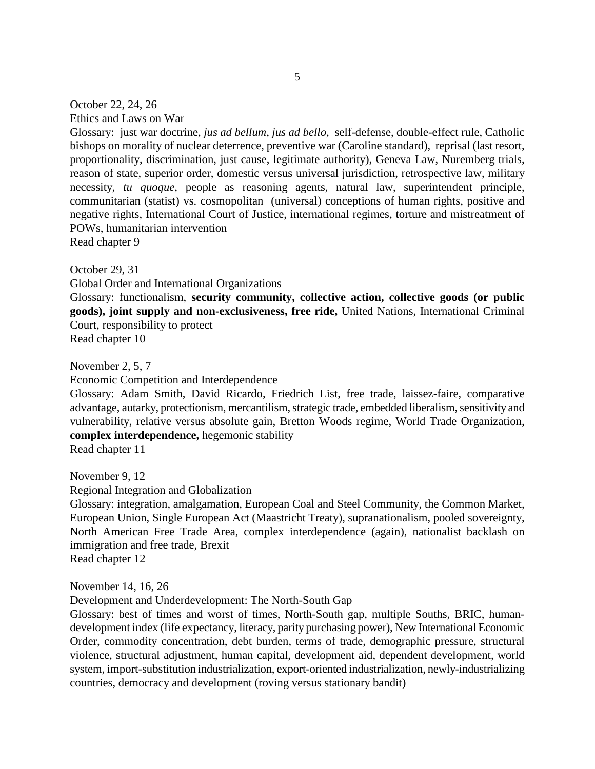October 22, 24, 26

Ethics and Laws on War

Glossary: just war doctrine, *jus ad bellum*, *jus ad bello*, self-defense, double-effect rule, Catholic bishops on morality of nuclear deterrence, preventive war (Caroline standard), reprisal (last resort, proportionality, discrimination, just cause, legitimate authority), Geneva Law, Nuremberg trials, reason of state, superior order, domestic versus universal jurisdiction, retrospective law, military necessity, *tu quoque*, people as reasoning agents, natural law, superintendent principle, communitarian (statist) vs. cosmopolitan (universal) conceptions of human rights, positive and negative rights, International Court of Justice, international regimes, torture and mistreatment of POWs, humanitarian intervention Read chapter 9

October 29, 31

Global Order and International Organizations

Glossary: functionalism, **security community, collective action, collective goods (or public goods), joint supply and non-exclusiveness, free ride,** United Nations, International Criminal Court, responsibility to protect Read chapter 10

November 2, 5, 7

Economic Competition and Interdependence

Glossary: Adam Smith, David Ricardo, Friedrich List, free trade, laissez-faire, comparative advantage, autarky, protectionism, mercantilism, strategic trade, embedded liberalism, sensitivity and vulnerability, relative versus absolute gain, Bretton Woods regime, World Trade Organization, **complex interdependence,** hegemonic stability

Read chapter 11

November 9, 12

Regional Integration and Globalization

Glossary: integration, amalgamation, European Coal and Steel Community, the Common Market, European Union, Single European Act (Maastricht Treaty), supranationalism, pooled sovereignty, North American Free Trade Area, complex interdependence (again), nationalist backlash on immigration and free trade, Brexit Read chapter 12

November 14, 16, 26

Development and Underdevelopment: The North-South Gap

Glossary: best of times and worst of times, North-South gap, multiple Souths, BRIC, humandevelopment index (life expectancy, literacy, parity purchasing power), New International Economic Order, commodity concentration, debt burden, terms of trade, demographic pressure, structural violence, structural adjustment, human capital, development aid, dependent development, world system, import-substitution industrialization, export-oriented industrialization, newly-industrializing countries, democracy and development (roving versus stationary bandit)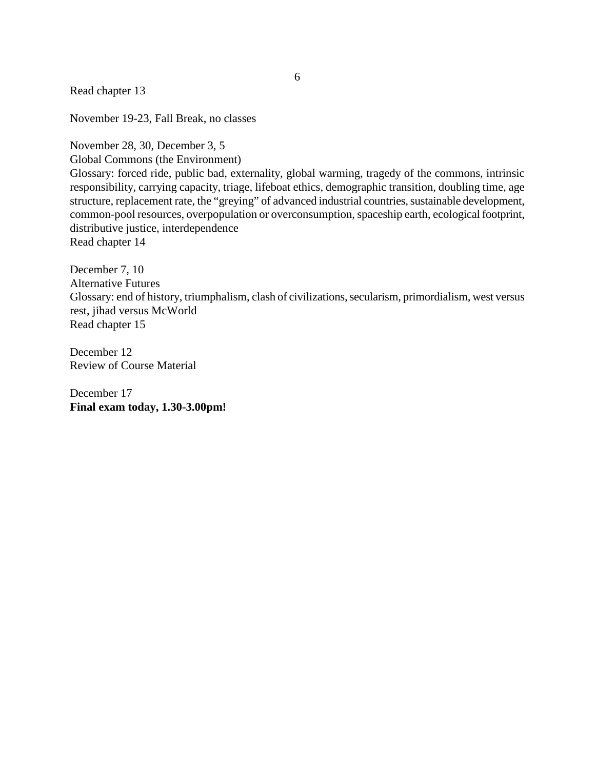Read chapter 13

November 19-23, Fall Break, no classes

November 28, 30, December 3, 5

Global Commons (the Environment)

Glossary: forced ride, public bad, externality, global warming, tragedy of the commons, intrinsic responsibility, carrying capacity, triage, lifeboat ethics, demographic transition, doubling time, age structure, replacement rate, the "greying" of advanced industrial countries, sustainable development, common-pool resources, overpopulation or overconsumption, spaceship earth, ecological footprint, distributive justice, interdependence

Read chapter 14

December 7, 10 Alternative Futures Glossary: end of history, triumphalism, clash of civilizations, secularism, primordialism, west versus rest, jihad versus McWorld Read chapter 15

December 12 Review of Course Material

December 17 **Final exam today, 1.30-3.00pm!**